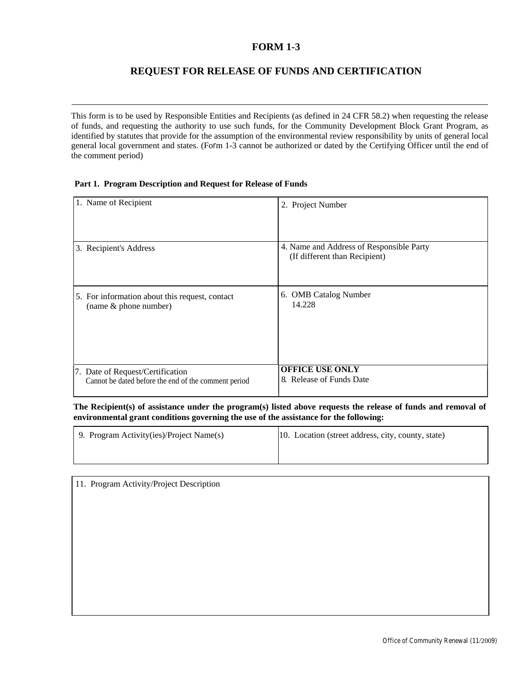### **FORM 1-3**

# **REQUEST FOR RELEASE OF FUNDS AND CERTIFICATION**

This form is to be used by Responsible Entities and Recipients (as defined in 24 CFR 58.2) when requesting the release of funds, and requesting the authority to use such funds, for the Community Development Block Grant Program, as identified by statutes that provide for the assumption of the environmental review responsibility by units of general local general local government and states. (Form 1-3 cannot be authorized or dated by the Certifying Officer until the end of the comment period)

#### **Part 1. Program Description and Request for Release of Funds**

| 1. Name of Recipient                                 | 2. Project Number                                                         |
|------------------------------------------------------|---------------------------------------------------------------------------|
| 3. Recipient's Address                               | 4. Name and Address of Responsible Party<br>(If different than Recipient) |
| 5. For information about this request, contact       | 6. OMB Catalog Number                                                     |
| (name & phone number)                                | 14.228                                                                    |
| 7. Date of Request/Certification                     | <b>OFFICE USE ONLY</b>                                                    |
| Cannot be dated before the end of the comment period | 8. Release of Funds Date                                                  |

**The Recipient(s) of assistance under the program(s) listed above requests the release of funds and removal of environmental grant conditions governing the use of the assistance for the following:**

| 9. Program Activity(ies)/Project Name(s) | 10. Location (street address, city, county, state) |
|------------------------------------------|----------------------------------------------------|
|                                          |                                                    |

| 11. Program Activity/Project Description |
|------------------------------------------|
|                                          |
|                                          |
|                                          |
|                                          |
|                                          |
|                                          |
|                                          |